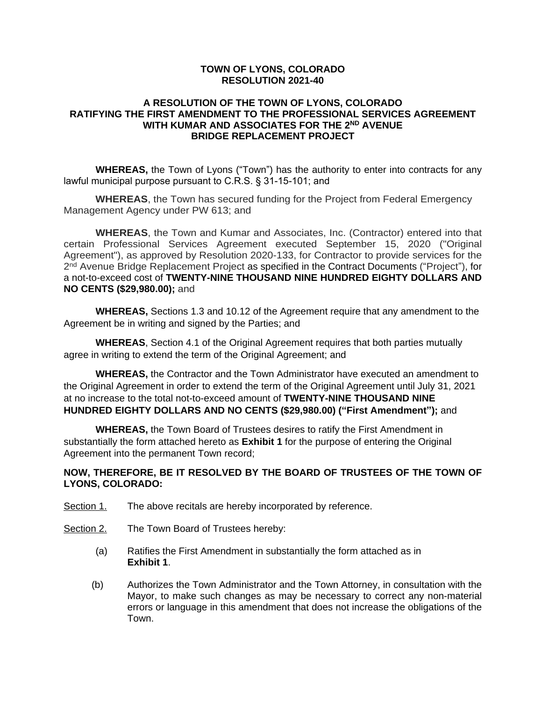#### **TOWN OF LYONS, COLORADO RESOLUTION 2021-40**

#### **A RESOLUTION OF THE TOWN OF LYONS, COLORADO RATIFYING THE FIRST AMENDMENT TO THE PROFESSIONAL SERVICES AGREEMENT WITH KUMAR AND ASSOCIATES FOR THE 2ND AVENUE BRIDGE REPLACEMENT PROJECT**

**WHEREAS,** the Town of Lyons ("Town") has the authority to enter into contracts for any lawful municipal purpose pursuant to C.R.S. § 31-15-101; and

**WHEREAS**, the Town has secured funding for the Project from Federal Emergency Management Agency under PW 613; and

**WHEREAS**, the Town and Kumar and Associates, Inc. (Contractor) entered into that certain Professional Services Agreement executed September 15, 2020 ("Original Agreement"), as approved by Resolution 2020-133, for Contractor to provide services for the 2<sup>nd</sup> Avenue Bridge Replacement Project as specified in the Contract Documents ("Project"), for a not-to-exceed cost of **TWENTY-NINE THOUSAND NINE HUNDRED EIGHTY DOLLARS AND NO CENTS (\$29,980.00);** and

**WHEREAS,** Sections 1.3 and 10.12 of the Agreement require that any amendment to the Agreement be in writing and signed by the Parties; and

**WHEREAS**, Section 4.1 of the Original Agreement requires that both parties mutually agree in writing to extend the term of the Original Agreement; and

**WHEREAS,** the Contractor and the Town Administrator have executed an amendment to the Original Agreement in order to extend the term of the Original Agreement until July 31, 2021 at no increase to the total not-to-exceed amount of **TWENTY-NINE THOUSAND NINE HUNDRED EIGHTY DOLLARS AND NO CENTS (\$29,980.00) ("First Amendment");** and

**WHEREAS,** the Town Board of Trustees desires to ratify the First Amendment in substantially the form attached hereto as **Exhibit 1** for the purpose of entering the Original Agreement into the permanent Town record;

### **NOW, THEREFORE, BE IT RESOLVED BY THE BOARD OF TRUSTEES OF THE TOWN OF LYONS, COLORADO:**

- Section 1. The above recitals are hereby incorporated by reference.
- Section 2. The Town Board of Trustees hereby:
	- (a) Ratifies the First Amendment in substantially the form attached as in **Exhibit 1**.
	- (b) Authorizes the Town Administrator and the Town Attorney, in consultation with the Mayor, to make such changes as may be necessary to correct any non-material errors or language in this amendment that does not increase the obligations of the Town.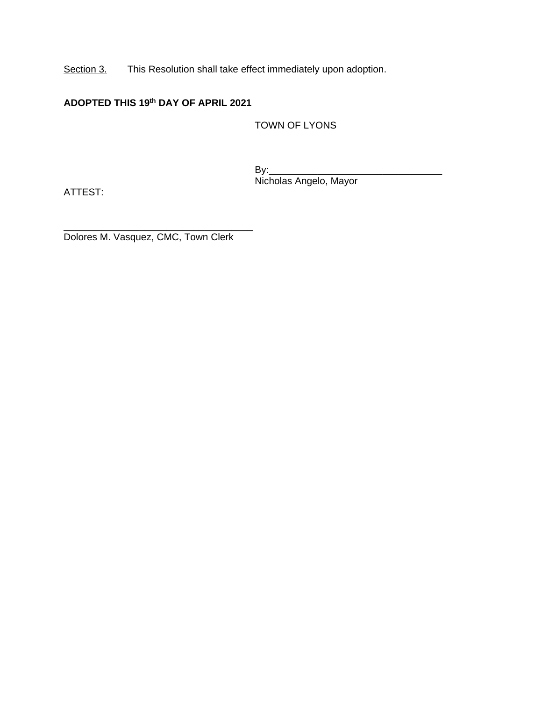Section 3. This Resolution shall take effect immediately upon adoption.

## **ADOPTED THIS 19th DAY OF APRIL 2021**

TOWN OF LYONS

 $By:$ Nicholas Angelo, Mayor

ATTEST:

\_\_\_\_\_\_\_\_\_\_\_\_\_\_\_\_\_\_\_\_\_\_\_\_\_\_\_\_\_\_\_\_\_\_\_ Dolores M. Vasquez, CMC, Town Clerk